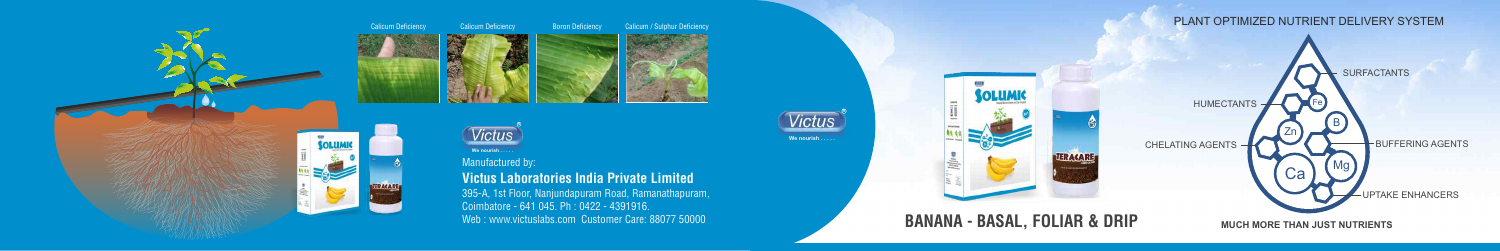**MUCH MORE THAN JUST NUTRIENTS**



#### Manufactured by:

**Victus Laboratories India Private Limited** 395-A, 1st Floor, Nanjundapuram Road, Ramanathapuram, Coimbatore - 641 045. Ph : 0422 - 4391916. Web : www.victuslabs.com Customer Care: 88077 50000



**We nourish.** 



**We nourish . . . . .**

**TERACARE** 

# **BANANA - BASAL, FOLIAR & DRIP**